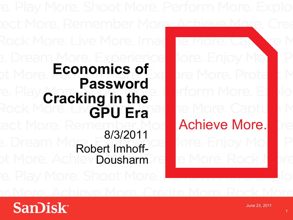he More. Cap 1ore. Enjoy Mo bre More, Prote erform More. Et he More. Captu Achieve More. **tore. Enjoy Mo** te More. Rock

**Experience Experience Experience Economics of Password Cracking in the GPU Era** 

ect More. Remember More

Rock More. Live More. Imag

8/3/2011 **Robert Imhoff-<br>Dousharm** Dousharm

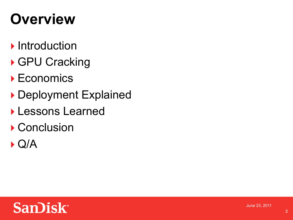# **Overview**

- **Introduction**
- ▶ GPU Cracking
- ▶ Economics
- Deployment Explained
- Lessons Learned
- ▶ Conclusion
- $\blacktriangleright$  Q/A

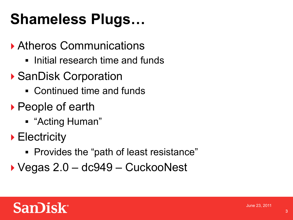# **Shameless Plugs…**

#### Atheros Communications

- **.** Initial research time and funds
- ▶ SanDisk Corporation
	- Continued time and funds
- ▶ People of earth
	- ! "Acting Human"
- ▶ Electricity
	- ! Provides the "path of least resistance"
- Vegas 2.0 dc949 CuckooNest

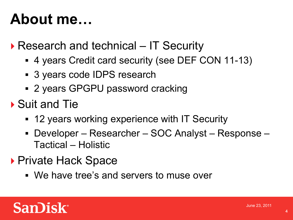# **About me…**

▶ Research and technical – IT Security

- ! 4 years Credit card security (see DEF CON 11-13)
- ! 3 years code IDPS research
- ! 2 years GPGPU password cracking
- ▶ Suit and Tie
	- ! 12 years working experience with IT Security
	- ! Developer Researcher SOC Analyst Response Tactical – Holistic
- ▶ Private Hack Space
	- ! We have tree's and servers to muse over

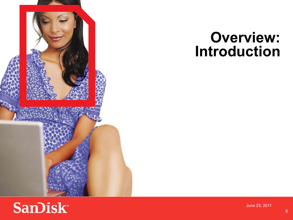

### **Overview: Introduction**

### **SanDisk®**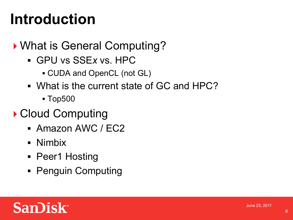# **Introduction**

#### ▶ What is General Computing?

- ! GPU vs SSE*x* vs. HPC
	- **.** CUDA and OpenCL (not GL)
- . What is the current state of GC and HPC?
	- ! Top500

#### ▶ Cloud Computing

- **Amazon AWC / EC2**
- **.** Nimbix
- Peer1 Hosting
- **Penguin Computing**

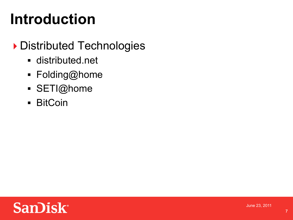# **Introduction**

#### Distributed Technologies

- **E** distributed.net
- ! Folding@home
- · SETI@home
- **BitCoin**

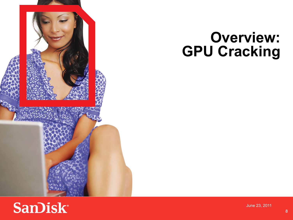

## **Overview: GPU Cracking**

### **SanDisk®**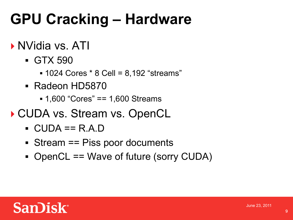# **GPU Cracking – Hardware**

#### ▶ NVidia vs. ATI

- ! GTX 590
	- ! 1024 Cores \* 8 Cell = 8,192 "streams"
- ! Radeon HD5870
	- ! 1,600 "Cores" == 1,600 Streams
- ▶ CUDA vs. Stream vs. OpenCL
	- $\blacksquare$  CUDA == R.A.D
	- ! Stream == Piss poor documents
	- ! OpenCL == Wave of future (sorry CUDA)

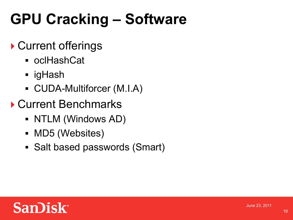# **GPU Cracking – Software**

#### ▶ Current offerings

- ! oclHashCat
- **·** igHash
- **CUDA-Multiforcer (M.I.A)**
- ▶ Current Benchmarks
	- NTLM (Windows AD)
	- MD5 (Websites)
	- ! Salt based passwords (Smart)

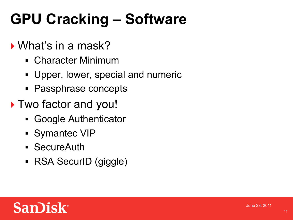# **GPU Cracking – Software**

#### ▶ What's in a mask?

- ! Character Minimum
- **.** Upper, lower, special and numeric
- ! Passphrase concepts
- ▶ Two factor and you!
	- ! Google Authenticator
	- **Symantec VIP**
	- ! SecureAuth
	- RSA SecurID (giggle)

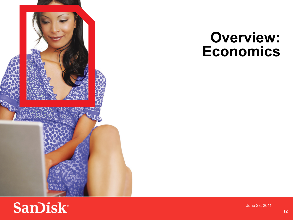

## **Overview: Economics**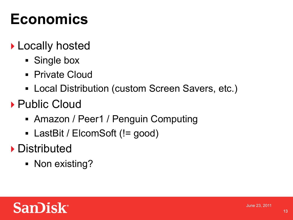# **Economics**

#### ▶ Locally hosted

- **Single box**
- **Private Cloud**
- **Local Distribution (custom Screen Savers, etc.)**
- ▶ Public Cloud
	- Amazon / Peer1 / Penguin Computing
	- LastBit / ElcomSoft (!= good)
- **Distributed** 
	- Non existing?

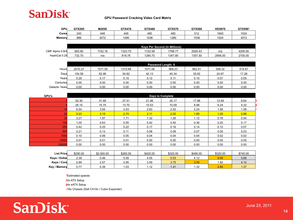

| GPU    | GTX295 | M2050 | <b>GTX470</b> | GTX480 | GTX570 | GTX580              | HD5870 | GTX590* |
|--------|--------|-------|---------------|--------|--------|---------------------|--------|---------|
| Corest | 240    | 448   | 448           | 480    | 480    | E 4 C<br><b>JIL</b> | 1600   | 1024    |
| Memory | 896    | 3072  | 280           | 1536   | 1280   | 1536                | 1024   | 3072    |

|                 | <b>Keys Per Second (In Millions)</b> |         |         |         |         |         |         |         |  |  |  |
|-----------------|--------------------------------------|---------|---------|---------|---------|---------|---------|---------|--|--|--|
| CMF Alpha 0.8r4 | 693.80                               | 1152.18 | 1323.75 | 1722.58 | 1798.77 | 2020.43 | n/a     | 4200.00 |  |  |  |
| HashCat 0.24    | 732.70                               | n/a     | 819.78  | 1290.70 | 1347.80 | 1357.50 | 2906.00 | 2700.00 |  |  |  |

|                | Password Length: 8 |         |         |         |        |        |        |        |  |  |  |
|----------------|--------------------|---------|---------|---------|--------|--------|--------|--------|--|--|--|
| Hours          | 2510.27            | 1511.59 | 1315.68 | 1011.06 | 968.23 | 862.01 | 599.32 | 414.67 |  |  |  |
| Days           | 104.59             | 62.98   | 54.82   | 42.13   | 40.34  | 35.92  | 24.97  | 17.28  |  |  |  |
| Years          | 0.29               | 0.17    | 0.15    | 0.12    | 0.11   | 0.10   | 0.07   | 0.05   |  |  |  |
| Centuries      | 0.00               | 0.00    | 0.00    | 0.00    | 0.00   | 0.00   | 0.00   | 0.00   |  |  |  |
| Galactic Years | 0.00               | 0.00    | 0.00    | 0.00    | 0.00   | 0.00   | 0.00   | 0.00   |  |  |  |

| <b>GPU's</b>    | <b>Days to Complete</b> |       |       |       |       |       |       |      |  |  |
|-----------------|-------------------------|-------|-------|-------|-------|-------|-------|------|--|--|
|                 | 52.30                   | 31.49 | 27.41 | 21.06 | 20.17 | 17.96 | 12.49 | 8.64 |  |  |
|                 | 26.15                   | 15.75 | 13.70 | 10.53 | 10.09 | 8.98  | 6.24  | 4.32 |  |  |
|                 | 6.54                    | 3.94  | 3.43  | 2.63  | 2.52  | 2.24  | 1.56  | 1.08 |  |  |
| 20              | 5.23                    | 3.15  | 2.74  | 2.11  | 2.02  | 1.80  | 1.25  | 0.86 |  |  |
|                 | 3.27                    | 1.97  | 1.71  | 1.32  | 1.26  | 1.12  | 0.78  | 0.54 |  |  |
| 10 <sup>1</sup> | 1.05                    | 0.63  | 0.55  | 0.42  | 0.40  | 0.36  | 0.25  | 0.17 |  |  |
| 250             | 0.42                    | 0.25  | 0.22  | 0.17  | 0.16  | 0.14  | 0.10  | 0.07 |  |  |
| 50              | 0.21                    | 0.13  | 0.11  | 0.08  | 0.08  | 0.07  | 0.05  | 0.03 |  |  |
| 100             | 0.10                    | 0.06  | 0.05  | 0.04  | 0.04  | 0.04  | 0.02  | 0.02 |  |  |
| 1000            | 0.01                    | 0.01  | 0.01  | 0.00  | 0.00  | 0.00  | 0.00  | 0.00 |  |  |
| 100000          | 0.00                    | 0.00  | 0.00  | 0.00  | 0.00  | 0.00  | 0.00  | 0.00 |  |  |

| <b>List Price</b> | \$290.00 | \$2,500.00 | \$260.00 | \$425.00 | \$325.00 | \$490.00 | \$320.00 | \$740.00 |
|-------------------|----------|------------|----------|----------|----------|----------|----------|----------|
| Keys / Dollar     | 2.39     | 0.46       | 5.09     | 4.05     | 5.53     | 4.12     | 9.08     | 5.68     |
| Keys / Core       | 2.89     | 2.57       | 2.95     | 3.59     | 3.75     | 3.95     | .82      | 4.10     |
| Key / Memory      | 0.77     | 0.38       | .03      | 1.12     | 1.41     | 1.32     | 2.84     | 1.37     |

**\*** Estimated speeds

**†** 2x ATX Setup

**‡** 4x eATX Setup

**◊**16x Chassis (Dell C410x / Cubix Expander)

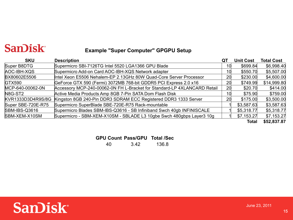#### **San)isk**

#### **Example "Super Computer" GPGPU Setup**

| <b>SKU</b>         | <b>Description</b>                                                       | QT | <b>Unit Cost</b> | <b>Total Cost</b> |
|--------------------|--------------------------------------------------------------------------|----|------------------|-------------------|
| Super B8DTG        | Supermicro SBI-7126TG Intel 5520 LGA1366 GPU Blade                       | 10 | \$699.84         | \$6,998.40        |
| AOC-IBH-XQS        | Supermicro Add-on Card AOC-IBH-XQS Network adapter                       | 10 | \$550.70         | \$5,507.00        |
| BX80602E5506       | Intel Xeon E5506 Nehalem-EP 2.13GHz 80W Quad-Core Server Processor       | 20 | \$230.00         | \$4,600.00        |
| GTX590             | GeForce GTX 590 (Fermi) 3072MB 768-bit GDDR5 PCI Express 2.0 x16         | 20 | \$749.99         | \$14,999.80       |
| MCP-640-00062-0N   | Accessory MCP-240-00062-0N FH L-Bracket for Standard-LP 4XLANCARD Retail | 20 | \$20.70          | \$414.00          |
| N8G-ST2            | Active Media Products Amp 8GB 7-Pin SATA Dom Flash Disk                  | 10 | \$75.90          | \$759.00          |
| KVR1333D3D4R9S/8G  | Kingston 8GB 240-Pin DDR3 SDRAM ECC Registered DDR3 1333 Server          | 20 | \$175.00         | \$3,500.00        |
| Super SBE-720E-R75 | Supermicro SuperBlade SBE-720E-R75 Rack-mountable                        |    | \$3,587.63       | \$3,587.63        |
| SBM-IBS-Q3616      | Supermicro Blades SBM-IBS-Q3616 - SB Infiniband Swch 40gb INFINISCALE    |    | \$5,318.77       | \$5,318.77        |
| SBM-XEM-X10SM      | Supermicro - SBM-XEM-X10SM - SBLADE L3 10gbe Swch 480gbps Layer3 10g     |    | \$7,153.27       | \$7,153.27        |
|                    |                                                                          |    | <b>Total</b>     | \$52,837.87       |

**GPU Count Pass/GPU Total /Sec** 

40 3.42 136.8

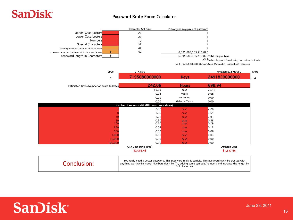#### **San)isk**

#### Password Brute Force Calculator!

|                                                      | Character Set Size                                                                                        | <b>Entropy or Keyspace of password</b>                                                                                     |                                                                    |              |
|------------------------------------------------------|-----------------------------------------------------------------------------------------------------------|----------------------------------------------------------------------------------------------------------------------------|--------------------------------------------------------------------|--------------|
| Upper Case Letters                                   | 26                                                                                                        |                                                                                                                            |                                                                    |              |
| Lower Case Letters                                   | 26                                                                                                        |                                                                                                                            |                                                                    |              |
| Numbers                                              | 10                                                                                                        |                                                                                                                            |                                                                    |              |
| Special Characters                                   | 32                                                                                                        |                                                                                                                            |                                                                    |              |
| or Purely Random Combo of Alpha/Numeric              | 62                                                                                                        |                                                                                                                            |                                                                    |              |
| 8<br>or PURELY Random Combo of Alpha/Numeric/Special | 94                                                                                                        | 6,095,689,385,410,820                                                                                                      |                                                                    |              |
| 8<br>password length in Characters                   |                                                                                                           | 6,095,689,385,410,820Total Unique Keys                                                                                     |                                                                    |              |
|                                                      |                                                                                                           |                                                                                                                            | ./3.5 <sub>Reduce</sub> Keyspace Search using map reduce methods   |              |
|                                                      |                                                                                                           |                                                                                                                            | 1,741,625,538,688,800.00Total Workload in Floating Point Processes |              |
| <b>GPUs</b>                                          | <b>GTX 570</b>                                                                                            |                                                                                                                            | Amazon EC2 M2050                                                   | <b>GPUs</b>  |
| 4                                                    | 7195080000000                                                                                             | <b>Keys</b>                                                                                                                | 2491820000000                                                      | $\mathbf{z}$ |
| <b>Estimated Gross Number of hours to Crack</b>      | 242.06                                                                                                    | <b>Hours</b>                                                                                                               | 698.94                                                             |              |
|                                                      | 10.09                                                                                                     | days                                                                                                                       | 29.12                                                              |              |
|                                                      | 0.03                                                                                                      | years                                                                                                                      | 0.08                                                               |              |
|                                                      | 0.00                                                                                                      | centuries                                                                                                                  | 0.00                                                               |              |
|                                                      | 0.00                                                                                                      | Galactic Years                                                                                                             | 0.00                                                               |              |
|                                                      | Number of servers (with GPU count from above)                                                             |                                                                                                                            |                                                                    |              |
|                                                      | 2.52                                                                                                      | days                                                                                                                       | 7.28                                                               |              |
|                                                      | 1.26                                                                                                      | days                                                                                                                       | 3.64                                                               |              |
| 10                                                   | 1.01                                                                                                      | days                                                                                                                       | 2.91                                                               |              |
| 50                                                   | 0.20                                                                                                      | days                                                                                                                       | 0.58                                                               |              |
| 100                                                  | 0.10                                                                                                      | days                                                                                                                       | 0.29                                                               |              |
| 250                                                  | 0.04                                                                                                      | days                                                                                                                       | 0.12                                                               |              |
| 500                                                  | 0.02                                                                                                      | days                                                                                                                       | 0.06                                                               |              |
| 1,000                                                | 0.01                                                                                                      | days                                                                                                                       | 0.03                                                               |              |
| 10,000                                               | 0.00                                                                                                      | days                                                                                                                       | 0.00                                                               |              |
| 100,000                                              | 0.00                                                                                                      | days                                                                                                                       | 0.00                                                               |              |
|                                                      | GTX Cost (One Time)<br>\$2,056.48                                                                         |                                                                                                                            | <b>Amazon Cost</b><br>\$1,537.66                                   |              |
|                                                      |                                                                                                           |                                                                                                                            |                                                                    |              |
| Conclusion:                                          | anything worthwhile, sorry! Numbers don't lie! Try adding some symbols/numbers and increase the length by | You really need a better password. This password really is terrible. This password can't be trusted with<br>3-5 characters |                                                                    |              |

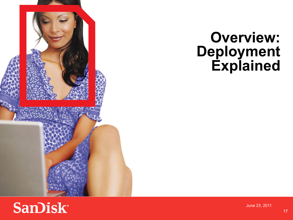

#### **Overview: Deployment Explained**

#### **SanDisk®**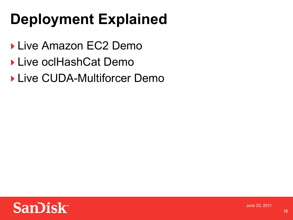# **Deployment Explained**

- Live Amazon EC2 Demo
- ▶ Live oclHashCat Demo

▶ Live CUDA-Multiforcer Demo

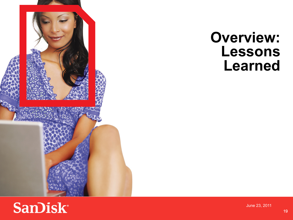

#### **Overview: Lessons Learned**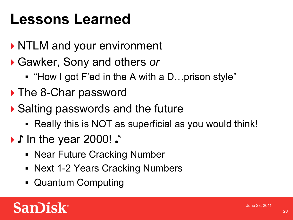# **Lessons Learned**

- ▶ NTLM and your environment
- Gawker, Sony and others *or*
	- "How I got F'ed in the A with a D…prison style"
- ▶ The 8-Char password
- ▶ Salting passwords and the future
	- ! Really this is NOT as superficial as you would think!
- ♪ In the year 2000! ♪
	- **Near Future Cracking Number**
	- Next 1-2 Years Cracking Numbers
	- ! Quantum Computing

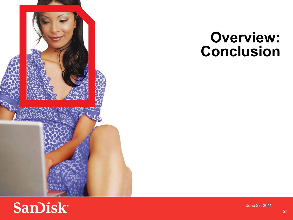

### **Overview: Conclusion**

## **SanDisk®**